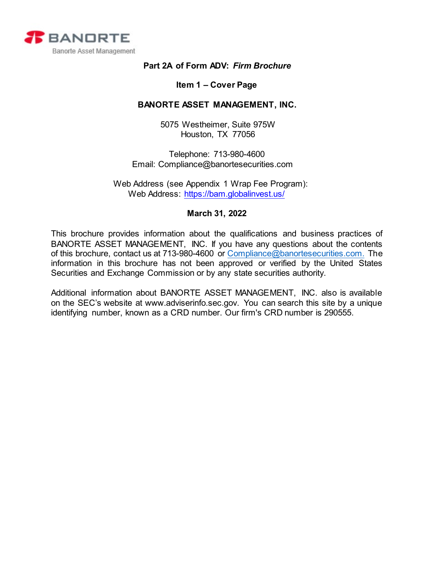<span id="page-0-0"></span>

# **Part 2A of Form ADV:** *Firm Brochure*

### **Item 1 – Cover Page**

## **BANORTE ASSET MANAGEMENT, INC.**

5075 Westheimer, Suite 975W Houston, TX 77056

Telephone: 713-980-4600 Email: [Compliance@banortesecurities.com](mailto:jchen@banortesecurities.com) 

 Web Address (see Appendix 1 Wrap Fee Program): Web Address:<https://bam.globalinvest.us/>

### **March 31, 2022**

This brochure provides information about the qualifications and business practices of BANORTE ASSET MANAGEMENT, INC. If you have any questions about the contents of this brochure, contact us at 713-980-4600 or [Compliance@banortesecurities.com.](mailto:Compliance@banortesecurities.com) The information in this brochure has not been approved or verified by the United States Securities and Exchange Commission or by any state securities authority.

Additional information about BANORTE ASSET MANAGEMENT, INC. also is available on the SEC's website at [www.adviserinfo.sec.gov. Y](http://www.adviserinfo.sec.gov/)ou can search this site by a unique identifying number, known as a CRD number. Our firm's CRD number is 290555.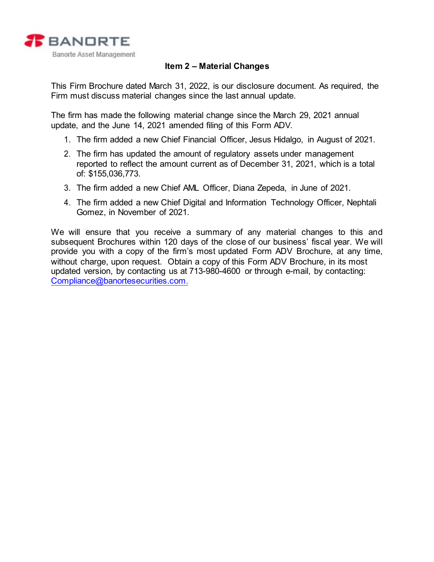

# **Item 2 – Material Changes**

<span id="page-1-0"></span>This Firm Brochure dated March 31, 2022, is our disclosure document. As required, the Firm must discuss material changes since the last annual update.

The firm has made the following material change since the March 29, 2021 annual update, and the June 14, 2021 amended filing of this Form ADV.

- 1. The firm added a new Chief Financial Officer, Jesus Hidalgo, in August of 2021.
- 2. The firm has updated the amount of regulatory assets under management reported to reflect the amount current as of December 31, 2021, which is a total of: \$155,036,773.
- 3. The firm added a new Chief AML Officer, Diana Zepeda, in June of 2021.
- 4. The firm added a new Chief Digital and Information Technology Officer, Nephtali Gomez, in November of 2021.

We will ensure that you receive a summary of any material changes to this and subsequent Brochures within 120 days of the close of our business' fiscal year. We will provide you with a copy of the firm's most updated Form ADV Brochure, at any time, without charge, upon request. Obtain a copy of this Form ADV Brochure, in its most updated version, by contacting us at 713-980-4600 or through e-mail, by contacting: [Compliance@banortesecurities.com.](mailto:Compliance@banortesecurities.com.)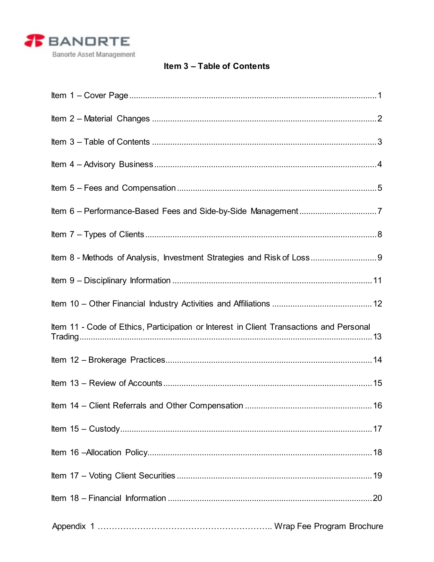

# Item 3 - Table of Contents

<span id="page-2-0"></span>

| Item 8 - Methods of Analysis, Investment Strategies and Risk of Loss 9                  |    |
|-----------------------------------------------------------------------------------------|----|
|                                                                                         |    |
|                                                                                         |    |
| Item 11 - Code of Ethics, Participation or Interest in Client Transactions and Personal |    |
|                                                                                         |    |
|                                                                                         |    |
| Item 14 - Client Referrals and Other Compensation                                       | 16 |
|                                                                                         |    |
|                                                                                         |    |
|                                                                                         |    |
|                                                                                         |    |
|                                                                                         |    |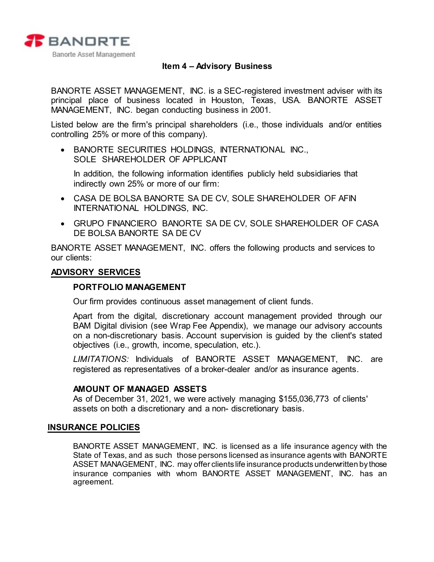

## **Item 4 – Advisory Business**

<span id="page-3-0"></span>BANORTE ASSET MANAGEMENT, INC. is a SEC-registered investment adviser with its principal place of business located in Houston, Texas, USA. BANORTE ASSET MANAGEMENT, INC. began conducting business in 2001.

Listed below are the firm's principal shareholders (i.e., those individuals and/or entities controlling 25% or more of this company).

• BANORTE SECURITIES HOLDINGS, INTERNATIONAL INC., SOLE SHAREHOLDER OF APPLICANT

In addition, the following information identifies publicly held subsidiaries that indirectly own 25% or more of our firm:

- CASA DE BOLSA BANORTE SA DE CV, SOLE SHAREHOLDER OF AFIN INTERNATIONAL HOLDINGS, INC.
- GRUPO FINANCIERO BANORTE SA DE CV, SOLE SHAREHOLDER OF CASA DE BOLSA BANORTE SA DE CV

BANORTE ASSET MANAGEMENT, INC. offers the following products and services to our clients:

#### **ADVISORY SERVICES**

#### **PORTFOLIO MANAGEMENT**

Our firm provides continuous asset management of client funds.

Apart from the digital, discretionary account management provided through our BAM Digital division (see Wrap Fee Appendix), we manage our advisory accounts on a non-discretionary basis. Account supervision is guided by the client's stated objectives (i.e., growth, income, speculation, etc.).

*LIMITATIONS:* Individuals of BANORTE ASSET MANAGEMENT, INC. are registered as representatives of a broker-dealer and/or as insurance agents.

#### **AMOUNT OF MANAGED ASSETS**

As of December 31, 2021, we were actively managing \$155,036,773 of clients' assets on both a discretionary and a non- discretionary basis.

#### **INSURANCE POLICIES**

BANORTE ASSET MANAGEMENT, INC. is licensed as a life insurance agency with the State of Texas, and as such those persons licensed as insurance agents with BANORTE ASSET MANAGEMENT, INC. may offer clients life insurance products underwritten by those insurance companies with whom BANORTE ASSET MANAGEMENT, INC. has an agreement.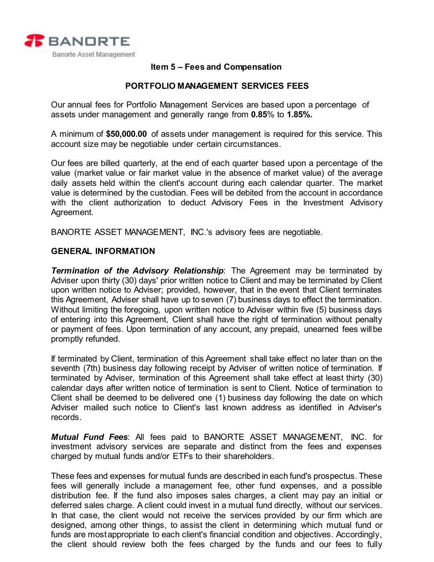<span id="page-4-0"></span>

## **Item 5 – Fees and Compensation**

## **PORTFOLIO MANAGEMENT SERVICES FEES**

Our annual fees for Portfolio Management Services are based upon a percentage of assets under management and generally range from **0.85**% to **1.85%.**

A minimum of **\$50,000.00** of assets under management is required for this service. This account size may be negotiable under certain circumstances.

Our fees are billed quarterly, at the end of each quarter based upon a percentage of the value (market value or fair market value in the absence of market value) of the average daily assets held within the client's account during each calendar quarter. The market value is determined by the custodian. Fees will be debited from the account in accordance with the client authorization to deduct Advisory Fees in the Investment Advisory Agreement.

BANORTE ASSET MANAGEMENT, INC.'s advisory fees are negotiable.

#### **GENERAL INFORMATION**

*Termination of the Advisory Relationship*: The Agreement may be terminated by Adviser upon thirty (30) days' prior written notice to Client and may be terminated by Client upon written notice to Adviser; provided, however, that in the event that Client terminates this Agreement, Adviser shall have up to seven (7) business days to effect the termination. Without limiting the foregoing, upon written notice to Adviser within five (5) business days of entering into this Agreement, Client shall have the right of termination without penalty or payment of fees. Upon termination of any account, any prepaid, unearned fees willbe promptly refunded.

If terminated by Client, termination of this Agreement shall take effect no later than on the seventh (7th) business day following receipt by Adviser of written notice of termination. If terminated by Adviser, termination of this Agreement shall take effect at least thirty (30) calendar days after written notice of termination is sent to Client. Notice of termination to Client shall be deemed to be delivered one (1) business day following the date on which Adviser mailed such notice to Client's last known address as identified in Adviser's records.

*Mutual Fund Fees*: All fees paid to BANORTE ASSET MANAGEMENT, INC. for investment advisory services are separate and distinct from the fees and expenses charged by mutual funds and/or ETFs to their shareholders.

These fees and expenses for mutual funds are described in each fund's prospectus. These fees will generally include a management fee, other fund expenses, and a possible distribution fee. If the fund also imposes sales charges, a client may pay an initial or deferred sales charge. A client could invest in a mutual fund directly, without our services. In that case, the client would not receive the services provided by our firm which are designed, among other things, to assist the client in determining which mutual fund or funds are most appropriate to each client's financial condition and objectives. Accordingly, the client should review both the fees charged by the funds and our fees to fully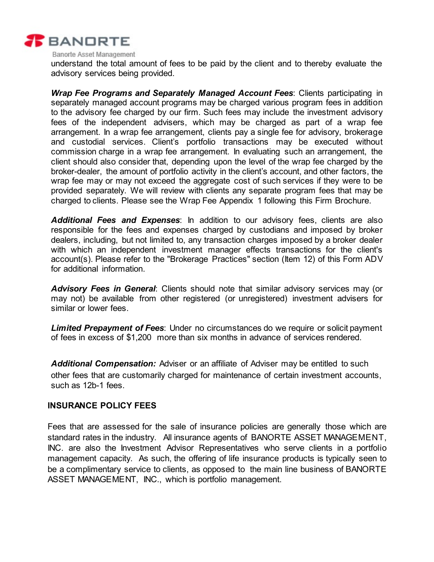

Banorte Asset Management

understand the total amount of fees to be paid by the client and to thereby evaluate the advisory services being provided.

*Wrap Fee Programs and Separately Managed Account Fees*: Clients participating in separately managed account programs may be charged various program fees in addition to the advisory fee charged by our firm. Such fees may include the investment advisory fees of the independent advisers, which may be charged as part of a wrap fee arrangement. In a wrap fee arrangement, clients pay a single fee for advisory, brokerage and custodial services. Client's portfolio transactions may be executed without commission charge in a wrap fee arrangement. In evaluating such an arrangement, the client should also consider that, depending upon the level of the wrap fee charged by the broker-dealer, the amount of portfolio activity in the client's account, and other factors, the wrap fee may or may not exceed the aggregate cost of such services if they were to be provided separately. We will review with clients any separate program fees that may be charged to clients. Please see the Wrap Fee Appendix 1 following this Firm Brochure.

*Additional Fees and Expenses*: In addition to our advisory fees, clients are also responsible for the fees and expenses charged by custodians and imposed by broker dealers, including, but not limited to, any transaction charges imposed by a broker dealer with which an independent investment manager effects transactions for the client's account(s). Please refer to the "Brokerage Practices" section (Item 12) of this Form ADV for additional information.

*Advisory Fees in General*: Clients should note that similar advisory services may (or may not) be available from other registered (or unregistered) investment advisers for similar or lower fees.

*Limited Prepayment of Fees*: Under no circumstances do we require or solicit payment of fees in excess of \$1,200 more than six months in advance of services rendered.

*Additional Compensation:* Adviser or an affiliate of Adviser may be entitled to such other fees that are customarily charged for maintenance of certain investment accounts, such as 12b-1 fees.

#### **INSURANCE POLICY FEES**

Fees that are assessed for the sale of insurance policies are generally those which are standard rates in the industry. All insurance agents of BANORTE ASSET MANAGEMENT, INC. are also the Investment Advisor Representatives who serve clients in a portfolio management capacity. As such, the offering of life insurance products is typically seen to be a complimentary service to clients, as opposed to the main line business of BANORTE ASSET MANAGEMENT, INC., which is portfolio management.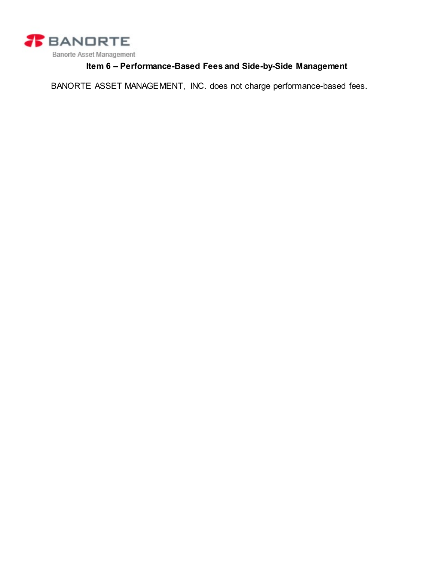

# **Item 6 – Performance-Based Fees and Side-by-Side Management**

<span id="page-6-0"></span>BANORTE ASSET MANAGEMENT, INC. does not charge performance-based fees.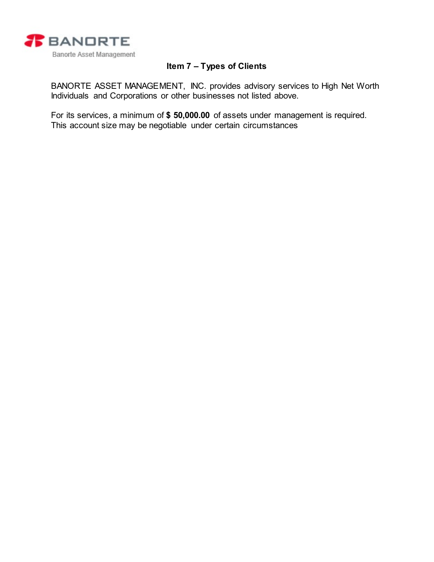

# **Item 7 – Types of Clients**

<span id="page-7-0"></span>BANORTE ASSET MANAGEMENT, INC. provides advisory services to High Net Worth Individuals and Corporations or other businesses not listed above.

For its services, a minimum of **\$ 50,000.00** of assets under management is required. This account size may be negotiable under certain circumstances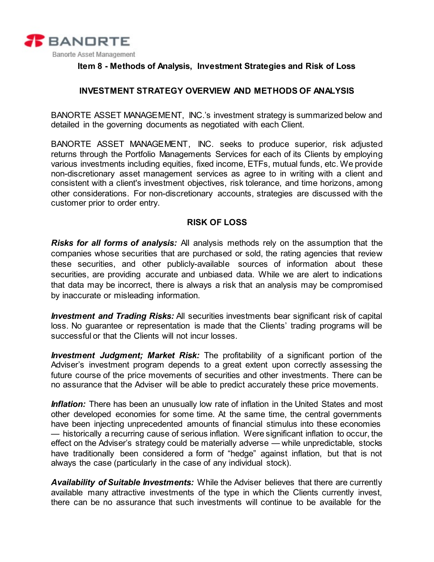

## <span id="page-8-0"></span>**Item 8 - Methods of Analysis, Investment Strategies and Risk of Loss**

# **INVESTMENT STRATEGY OVERVIEW AND METHODS OF ANALYSIS**

BANORTE ASSET MANAGEMENT, INC.'s investment strategy is summarized below and detailed in the governing documents as negotiated with each Client.

BANORTE ASSET MANAGEMENT, INC. seeks to produce superior, risk adjusted returns through the Portfolio Managements Services for each of its Clients by employing various investments including equities, fixed income, ETFs, mutual funds, etc. We provide non-discretionary asset management services as agree to in writing with a client and consistent with a client's investment objectives, risk tolerance, and time horizons, among other considerations. For non-discretionary accounts, strategies are discussed with the customer prior to order entry.

## **RISK OF LOSS**

*Risks for all forms of analysis:* All analysis methods rely on the assumption that the companies whose securities that are purchased or sold, the rating agencies that review these securities, and other publicly-available sources of information about these securities, are providing accurate and unbiased data. While we are alert to indications that data may be incorrect, there is always a risk that an analysis may be compromised by inaccurate or misleading information.

*Investment and Trading Risks:* All securities investments bear significant risk of capital loss. No guarantee or representation is made that the Clients' trading programs will be successful or that the Clients will not incur losses.

*Investment Judgment; Market Risk:* The profitability of a significant portion of the Adviser's investment program depends to a great extent upon correctly assessing the future course of the price movements of securities and other investments. There can be no assurance that the Adviser will be able to predict accurately these price movements.

*Inflation:* There has been an unusually low rate of inflation in the United States and most other developed economies for some time. At the same time, the central governments have been injecting unprecedented amounts of financial stimulus into these economies — historically a recurring cause of serious inflation. Were significant inflation to occur, the effect on the Adviser's strategy could be materially adverse — while unpredictable, stocks have traditionally been considered a form of "hedge" against inflation, but that is not always the case (particularly in the case of any individual stock).

*Availability of Suitable Investments:* While the Adviser believes that there are currently available many attractive investments of the type in which the Clients currently invest, there can be no assurance that such investments will continue to be available for the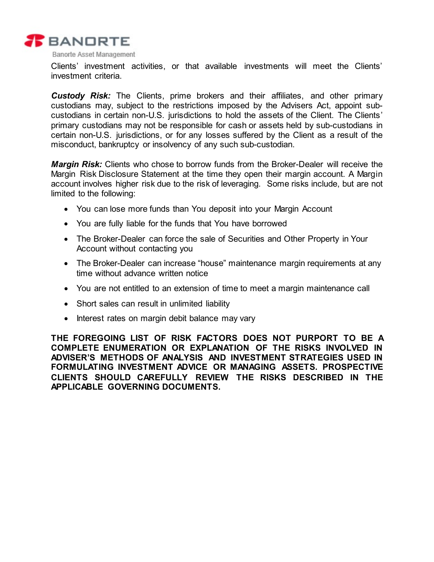

Clients' investment activities, or that available investments will meet the Clients' investment criteria.

*Custody Risk:* The Clients, prime brokers and their affiliates, and other primary custodians may, subject to the restrictions imposed by the Advisers Act, appoint subcustodians in certain non-U.S. jurisdictions to hold the assets of the Client. The Clients' primary custodians may not be responsible for cash or assets held by sub-custodians in certain non-U.S. jurisdictions, or for any losses suffered by the Client as a result of the misconduct, bankruptcy or insolvency of any such sub-custodian.

*Margin Risk:* Clients who chose to borrow funds from the Broker-Dealer will receive the Margin Risk Disclosure Statement at the time they open their margin account. A Margin account involves higher risk due to the risk of leveraging. Some risks include, but are not limited to the following:

- You can lose more funds than You deposit into your Margin Account
- You are fully liable for the funds that You have borrowed
- The Broker-Dealer can force the sale of Securities and Other Property in Your Account without contacting you
- The Broker-Dealer can increase "house" maintenance margin requirements at any time without advance written notice
- You are not entitled to an extension of time to meet a margin maintenance call
- Short sales can result in unlimited liability
- Interest rates on margin debit balance may vary

**THE FOREGOING LIST OF RISK FACTORS DOES NOT PURPORT TO BE A COMPLETE ENUMERATION OR EXPLANATION OF THE RISKS INVOLVED IN ADVISER'S METHODS OF ANALYSIS AND INVESTMENT STRATEGIES USED IN FORMULATING INVESTMENT ADVICE OR MANAGING ASSETS. PROSPECTIVE CLIENTS SHOULD CAREFULLY REVIEW THE RISKS DESCRIBED IN THE APPLICABLE GOVERNING DOCUMENTS.**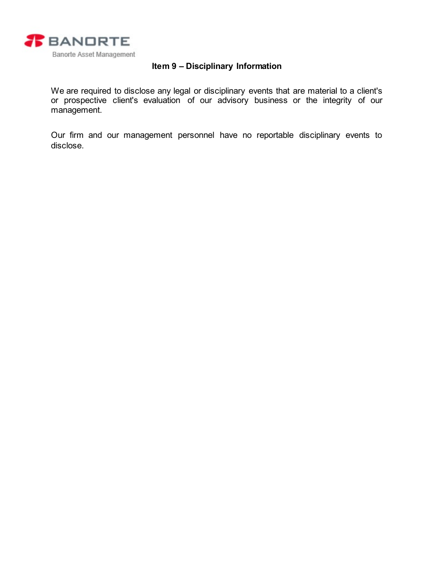

# **Item 9 – Disciplinary Information**

<span id="page-10-0"></span>We are required to disclose any legal or disciplinary events that are material to a client's or prospective client's evaluation of our advisory business or the integrity of our management.

Our firm and our management personnel have no reportable disciplinary events to disclose.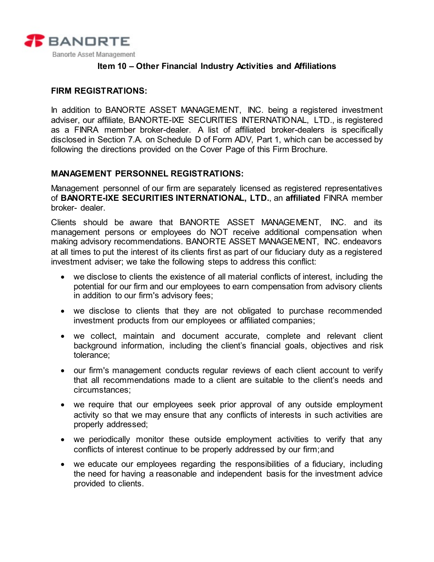

## **Item 10 – Other Financial Industry Activities and Affiliations**

## <span id="page-11-0"></span>**FIRM REGISTRATIONS:**

In addition to BANORTE ASSET MANAGEMENT, INC. being a registered investment adviser, our affiliate, BANORTE-IXE SECURITIES INTERNATIONAL, LTD., is registered as a FINRA member broker-dealer. A list of affiliated broker-dealers is specifically disclosed in Section 7.A. on Schedule D of Form ADV, Part 1, which can be accessed by following the directions provided on the Cover Page of this Firm Brochure.

### **MANAGEMENT PERSONNEL REGISTRATIONS:**

Management personnel of our firm are separately licensed as registered representatives of **BANORTE-IXE SECURITIES INTERNATIONAL, LTD.**, an **affiliated** FINRA member broker- dealer.

Clients should be aware that BANORTE ASSET MANAGEMENT, INC. and its management persons or employees do NOT receive additional compensation when making advisory recommendations. BANORTE ASSET MANAGEMENT, INC. endeavors at all times to put the interest of its clients first as part of our fiduciary duty as a registered investment adviser; we take the following steps to address this conflict:

- we disclose to clients the existence of all material conflicts of interest, including the potential for our firm and our employees to earn compensation from advisory clients in addition to our firm's advisory fees;
- we disclose to clients that they are not obligated to purchase recommended investment products from our employees or affiliated companies;
- we collect, maintain and document accurate, complete and relevant client background information, including the client's financial goals, objectives and risk tolerance;
- our firm's management conducts regular reviews of each client account to verify that all recommendations made to a client are suitable to the client's needs and circumstances;
- we require that our employees seek prior approval of any outside employment activity so that we may ensure that any conflicts of interests in such activities are properly addressed;
- we periodically monitor these outside employment activities to verify that any conflicts of interest continue to be properly addressed by our firm;and
- we educate our employees regarding the responsibilities of a fiduciary, including the need for having a reasonable and independent basis for the investment advice provided to clients.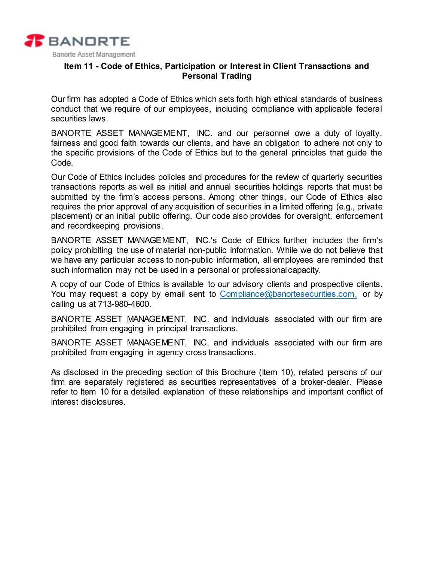

## <span id="page-12-0"></span>**Item 11 - Code of Ethics, Participation or Interest in Client Transactions and Personal Trading**

Our firm has adopted a Code of Ethics which sets forth high ethical standards of business conduct that we require of our employees, including compliance with applicable federal securities laws.

BANORTE ASSET MANAGEMENT, INC. and our personnel owe a duty of loyalty, fairness and good faith towards our clients, and have an obligation to adhere not only to the specific provisions of the Code of Ethics but to the general principles that guide the Code.

Our Code of Ethics includes policies and procedures for the review of quarterly securities transactions reports as well as initial and annual securities holdings reports that must be submitted by the firm's access persons. Among other things, our Code of Ethics also requires the prior approval of any acquisition of securities in a limited offering (e.g., private placement) or an initial public offering. Our code also provides for oversight, enforcement and recordkeeping provisions.

BANORTE ASSET MANAGEMENT, INC.'s Code of Ethics further includes the firm's policy prohibiting the use of material non-public information. While we do not believe that we have any particular access to non-public information, all employees are reminded that such information may not be used in a personal or professionalcapacity.

A copy of our Code of Ethics is available to our advisory clients and prospective clients. You may request a copy by email sent to [Compliance@banortesecurities.com,](mailto:Compliance@banortesecurities.com) or by calling us at 713-980-4600.

BANORTE ASSET MANAGEMENT, INC. and individuals associated with our firm are prohibited from engaging in principal transactions.

BANORTE ASSET MANAGEMENT, INC. and individuals associated with our firm are prohibited from engaging in agency cross transactions.

As disclosed in the preceding section of this Brochure (Item 10), related persons of our firm are separately registered as securities representatives of a broker-dealer. Please refer to Item 10 for a detailed explanation of these relationships and important conflict of interest disclosures.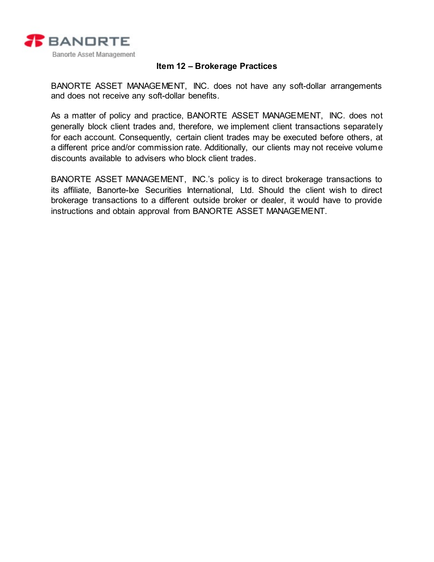

# **Item 12 – Brokerage Practices**

<span id="page-13-0"></span>BANORTE ASSET MANAGEMENT, INC. does not have any soft-dollar arrangements and does not receive any soft-dollar benefits.

As a matter of policy and practice, BANORTE ASSET MANAGEMENT, INC. does not generally block client trades and, therefore, we implement client transactions separately for each account. Consequently, certain client trades may be executed before others, at a different price and/or commission rate. Additionally, our clients may not receive volume discounts available to advisers who block client trades.

BANORTE ASSET MANAGEMENT, INC.'s policy is to direct brokerage transactions to its affiliate, Banorte-Ixe Securities International, Ltd. Should the client wish to direct brokerage transactions to a different outside broker or dealer, it would have to provide instructions and obtain approval from BANORTE ASSET MANAGEMENT.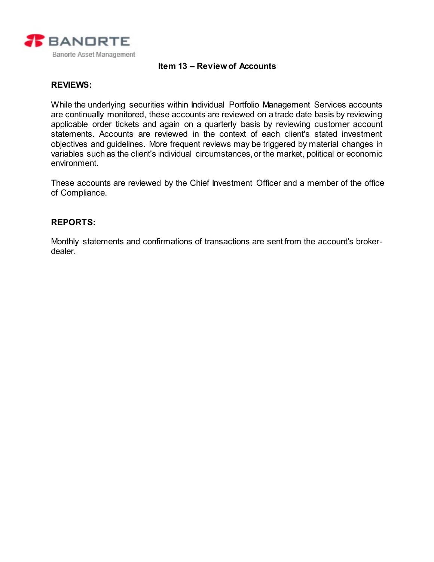

## **Item 13 – Review of Accounts**

#### <span id="page-14-0"></span>**REVIEWS:**

While the underlying securities within Individual Portfolio Management Services accounts are continually monitored, these accounts are reviewed on a trade date basis by reviewing applicable order tickets and again on a quarterly basis by reviewing customer account statements. Accounts are reviewed in the context of each client's stated investment objectives and guidelines. More frequent reviews may be triggered by material changes in variables such as the client's individual circumstances,or the market, political or economic environment.

These accounts are reviewed by the Chief Investment Officer and a member of the office of Compliance.

### **REPORTS:**

Monthly statements and confirmations of transactions are sent from the account's brokerdealer.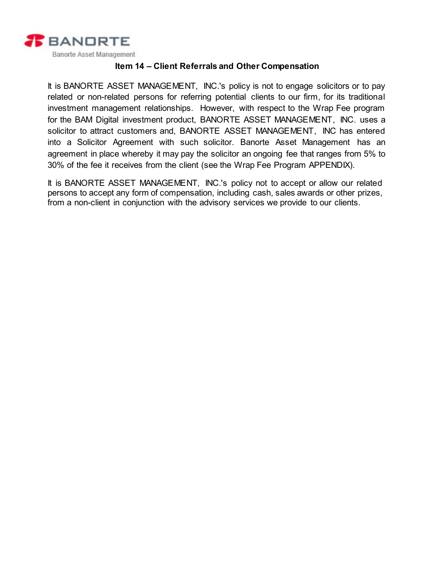

# **Item 14 – Client Referrals and Other Compensation**

<span id="page-15-0"></span>It is BANORTE ASSET MANAGEMENT, INC.'s policy is not to engage solicitors or to pay related or non-related persons for referring potential clients to our firm, for its traditional investment management relationships. However, with respect to the Wrap Fee program for the BAM Digital investment product, BANORTE ASSET MANAGEMENT, INC. uses a solicitor to attract customers and, BANORTE ASSET MANAGEMENT, INC has entered into a Solicitor Agreement with such solicitor. Banorte Asset Management has an agreement in place whereby it may pay the solicitor an ongoing fee that ranges from 5% to 30% of the fee it receives from the client (see the Wrap Fee Program APPENDIX).

It is BANORTE ASSET MANAGEMENT, INC.'s policy not to accept or allow our related persons to accept any form of compensation, including cash, sales awards or other prizes, from a non-client in conjunction with the advisory services we provide to our clients.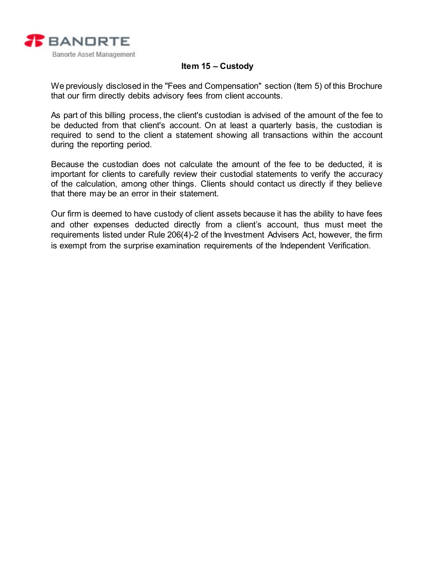

# **Item 15 – Custody**

<span id="page-16-0"></span>We previously disclosed in the "Fees and Compensation" section (Item 5) of this Brochure that our firm directly debits advisory fees from client accounts.

As part of this billing process, the client's custodian is advised of the amount of the fee to be deducted from that client's account. On at least a quarterly basis, the custodian is required to send to the client a statement showing all transactions within the account during the reporting period.

Because the custodian does not calculate the amount of the fee to be deducted, it is important for clients to carefully review their custodial statements to verify the accuracy of the calculation, among other things. Clients should contact us directly if they believe that there may be an error in their statement.

Our firm is deemed to have custody of client assets because it has the ability to have fees and other expenses deducted directly from a client's account, thus must meet the requirements listed under Rule 206(4)-2 of the Investment Advisers Act, however, the firm is exempt from the surprise examination requirements of the Independent Verification.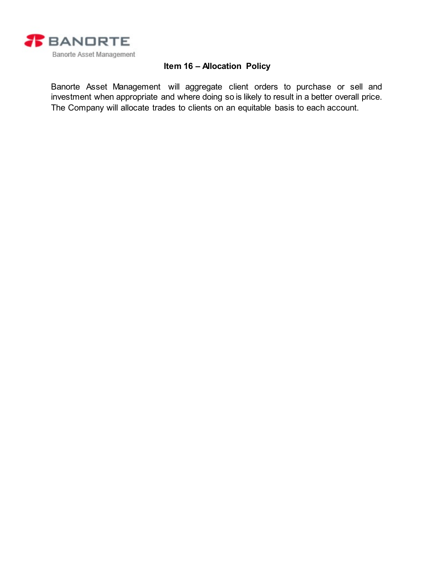

# **Item 16 – Allocation Policy**

<span id="page-17-0"></span>Banorte Asset Management will aggregate client orders to purchase or sell and investment when appropriate and where doing so is likely to result in a better overall price. The Company will allocate trades to clients on an equitable basis to each account.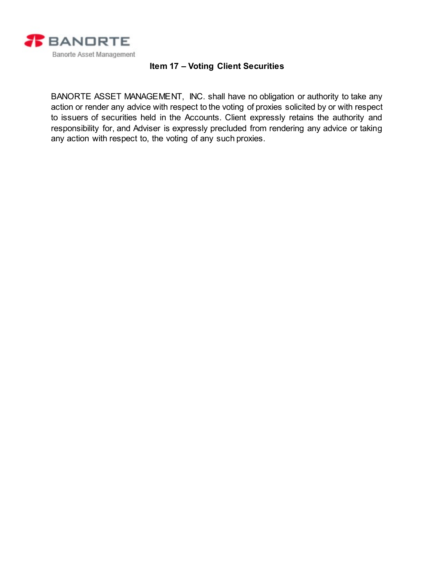

# **Item 17 – Voting Client Securities**

<span id="page-18-0"></span>BANORTE ASSET MANAGEMENT, INC. shall have no obligation or authority to take any action or render any advice with respect to the voting of proxies solicited by or with respect to issuers of securities held in the Accounts. Client expressly retains the authority and responsibility for, and Adviser is expressly precluded from rendering any advice or taking any action with respect to, the voting of any such proxies.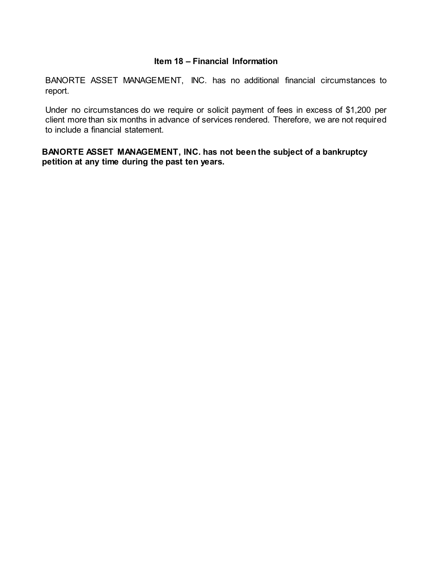## **Item 18 – Financial Information**

<span id="page-19-0"></span>BANORTE ASSET MANAGEMENT, INC. has no additional financial circumstances to report.

Under no circumstances do we require or solicit payment of fees in excess of \$1,200 per client more than six months in advance of services rendered. Therefore, we are not required to include a financial statement.

**BANORTE ASSET MANAGEMENT, INC. has not been the subject of a bankruptcy petition at any time during the past ten years.**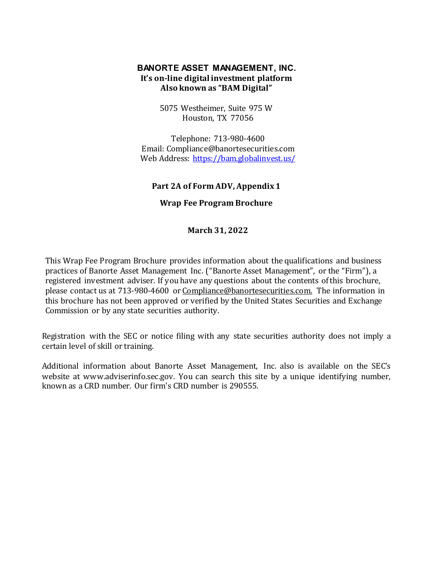# **BANORTE ASSET MANAGEMENT, INC. It's on-line digital investment platform Also known as "BAM Digital"**

5075 Westheimer, Suite 975 W Houston, TX 77056

Telephone: 713-980-4600 Email[: Compliance@banortesecurities.com](mailto:jchen@banortesecurities.com) Web Address:<https://bam.globalinvest.us/>

#### **Part 2A of Form ADV, Appendix 1**

### **Wrap Fee Program Brochure**

**March 31, 2022** 

This Wrap Fee Program Brochure provides information about the qualifications and business practices of Banorte Asset Management Inc. ("Banorte Asset Management", or the "Firm"), a registered investment adviser. If you have any questions about the contents of this brochure, please contact us at 713-980-4600 o[r Compliance@banortesecurities.com.](mailto:Compliance@banortesecurities.com.) The information in this brochure has not been approved or verified by the United States Securities and Exchange Commission or by any state securities authority.

Registration with the SEC or notice filing with any state securities authority does not imply a certain level of skill or training.

Additional information about Banorte Asset Management, Inc. also is available on the SEC's website at [www.adviserinfo.sec.gov.](http://www.adviserinfo.sec.gov/) You can search this site by a unique identifying number, known as a CRD number. Our firm's CRD number is 290555.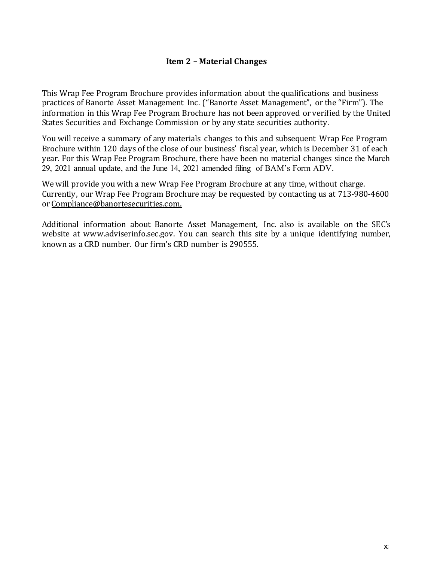# **Item 2 – Material Changes**

This Wrap Fee Program Brochure provides information about the qualifications and business practices of Banorte Asset Management Inc. ("Banorte Asset Management", or the "Firm"). The information in this Wrap Fee Program Brochure has not been approved or verified by the United States Securities and Exchange Commission or by any state securities authority.

You will receive a summary of any materials changes to this and subsequent Wrap Fee Program Brochure within 120 days of the close of our business' fiscal year, which is December 31 of each year. For this Wrap Fee Program Brochure, there have been no material changes since the March 29, 2021 annual update, and the June 14, 2021 amended filing of BAM's Form ADV.

We will provide you with a new Wrap Fee Program Brochure at any time, without charge. Currently, our Wrap Fee Program Brochure may be requested by contacting us at 713-980-4600 or [Compliance@banortesecurities.com.](mailto:Compliance@banortesecurities.com.)

Additional information about Banorte Asset Management, Inc. also is available on the SEC's website at [www.adviserinfo.sec.gov.](http://www.adviserinfo.sec.gov/) You can search this site by a unique identifying number, known as a CRD number. Our firm's CRD number is 290555.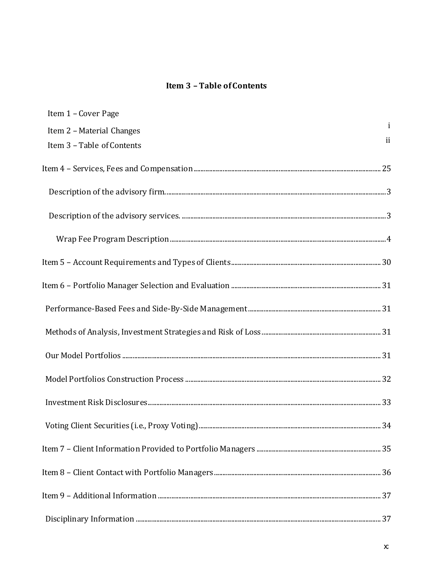# **Item 3-Table of Contents**

| Item 1 - Cover Page        |              |
|----------------------------|--------------|
| Item 2 - Material Changes  | $\mathbf{i}$ |
| Item 3 - Table of Contents | ii           |
|                            |              |
|                            |              |
|                            |              |
|                            |              |
|                            |              |
|                            |              |
|                            |              |
|                            |              |
|                            |              |
|                            |              |
|                            |              |
|                            |              |
|                            |              |
|                            |              |
|                            |              |
|                            |              |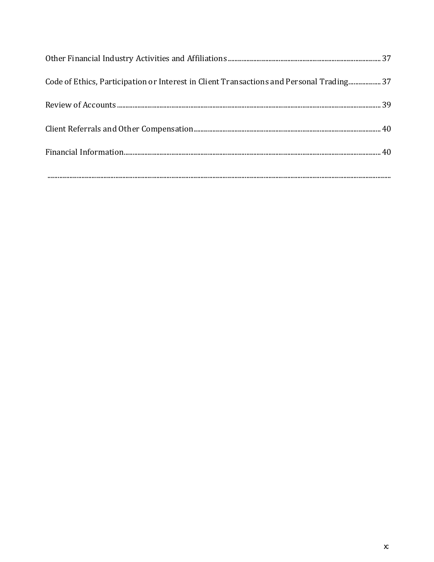| Code of Ethics, Participation or Interest in Client Transactions and Personal Trading37 |  |
|-----------------------------------------------------------------------------------------|--|
|                                                                                         |  |
|                                                                                         |  |
|                                                                                         |  |
|                                                                                         |  |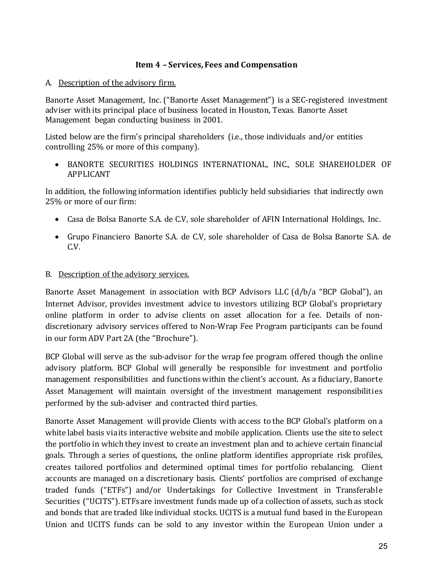# **Item 4 – Services, Fees and Compensation**

## <span id="page-24-1"></span><span id="page-24-0"></span>A. Description of the advisory firm.

Banorte Asset Management, Inc. ("Banorte Asset Management") is a SEC-registered investment adviser with its principal place of business located in Houston, Texas. Banorte Asset Management began conducting business in 2001.

Listed below are the firm's principal shareholders (i.e., those individuals and/or entities controlling 25% or more of this company).

• BANORTE SECURITIES HOLDINGS INTERNATIONAL, INC., SOLE SHAREHOLDER OF APPLICANT

In addition, the following information identifies publicly held subsidiaries that indirectly own 25% or more of our firm:

- Casa de Bolsa Banorte S.A. de C.V, sole shareholder of AFIN International Holdings, Inc.
- Grupo Financiero Banorte S.A. de C.V, sole shareholder of Casa de Bolsa Banorte S.A. de  $C.V.$

### <span id="page-24-2"></span>B. Description of the advisory services.

Banorte Asset Management in association with BCP Advisors LLC (d/b/a "BCP Global"), an Internet Advisor, provides investment advice to investors utilizing BCP Global's proprietary online platform in order to advise clients on asset allocation for a fee. Details of nondiscretionary advisory services offered to Non-Wrap Fee Program participants can be found in our form ADV Part 2A (the "Brochure").

BCP Global will serve as the sub-advisor for the wrap fee program offered though the online advisory platform. BCP Global will generally be responsible for investment and portfolio management responsibilities and functions within the client's account. As a fiduciary, Banorte Asset Management will maintain oversight of the investment management responsibilities performed by the sub-adviser and contracted third parties.

Banorte Asset Management will provide Clients with access to the BCP Global's platform on a white label basis via its interactive website and mobile application. Clients use the site to select the portfolio in which they invest to create an investment plan and to achieve certain financial goals. Through a series of questions, the online platform identifies appropriate risk profiles, creates tailored portfolios and determined optimal times for portfolio rebalancing. Client accounts are managed on a discretionary basis. Clients' portfolios are comprised of exchange traded funds ("ETFs") and/or Undertakings for Collective Investment in Transferable Securities ("UCITS"). ETFs are investment funds made up of a collection of assets, such as stock and bonds that are traded like individual stocks. UCITS is a mutual fund based in the European Union and UCITS funds can be sold to any investor within the European Union under a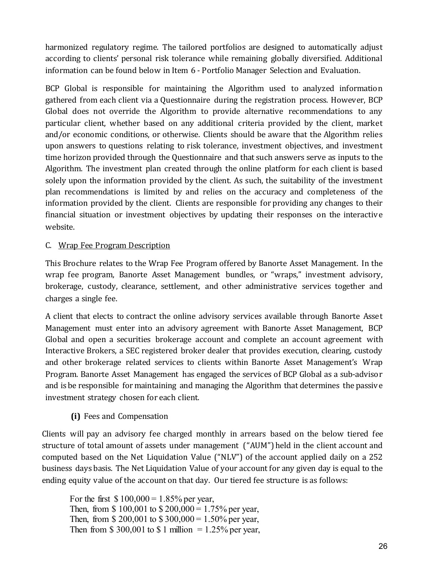harmonized regulatory regime. The tailored portfolios are designed to automatically adjust according to clients' personal risk tolerance while remaining globally diversified. Additional information can be found below in Item 6 - Portfolio Manager Selection and Evaluation.

BCP Global is responsible for maintaining the Algorithm used to analyzed information gathered from each client via a Questionnaire during the registration process. However, BCP Global does not override the Algorithm to provide alternative recommendations to any particular client, whether based on any additional criteria provided by the client, market and/or economic conditions, or otherwise. Clients should be aware that the Algorithm relies upon answers to questions relating to risk tolerance, investment objectives, and investment time horizon provided through the Questionnaire and that such answers serve as inputs to the Algorithm. The investment plan created through the online platform for each client is based solely upon the information provided by the client. As such, the suitability of the investment plan recommendations is limited by and relies on the accuracy and completeness of the information provided by the client. Clients are responsible for providing any changes to their financial situation or investment objectives by updating their responses on the interactive website.

# <span id="page-25-0"></span>C. Wrap Fee Program Description

This Brochure relates to the Wrap Fee Program offered by Banorte Asset Management. In the wrap fee program, Banorte Asset Management bundles, or "wraps," investment advisory, brokerage, custody, clearance, settlement, and other administrative services together and charges a single fee.

A client that elects to contract the online advisory services available through Banorte Asset Management must enter into an advisory agreement with Banorte Asset Management, BCP Global and open a securities brokerage account and complete an account agreement with Interactive Brokers, a SEC registered broker dealer that provides execution, clearing, custody and other brokerage related services to clients within Banorte Asset Management's Wrap Program. Banorte Asset Management has engaged the services of BCP Global as a sub-advisor and is be responsible for maintaining and managing the Algorithm that determines the passive investment strategy chosen for each client.

# **(i)** Fees and Compensation

Clients will pay an advisory fee charged monthly in arrears based on the below tiered fee structure of total amount of assets under management ("AUM") held in the client account and computed based on the Net Liquidation Value ("NLV") of the account applied daily on a 252 business days basis. The Net Liquidation Value of your account for any given day is equal to the ending equity value of the account on that day. Our tiered fee structure is as follows:

For the first  $$100,000 = 1.85\%$  per year, Then, from \$ 100,001 to  $$200,000 = 1.75\%$  per year, Then, from \$ 200,001 to \$ 300,000 = 1.50% per year, Then from \$ 300,001 to \$ 1 million =  $1.25\%$  per year,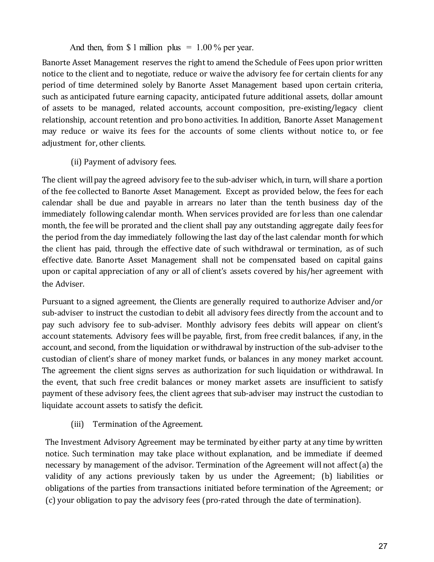And then, from \$ 1 million plus =  $1.00\%$  per year.

Banorte Asset Management reserves the right to amend the Schedule of Fees upon prior written notice to the client and to negotiate, reduce or waive the advisory fee for certain clients for any period of time determined solely by Banorte Asset Management based upon certain criteria, such as anticipated future earning capacity, anticipated future additional assets, dollar amount of assets to be managed, related accounts, account composition, pre-existing/legacy client relationship, account retention and pro bono activities. In addition, Banorte Asset Management may reduce or waive its fees for the accounts of some clients without notice to, or fee adjustment for, other clients.

(ii) Payment of advisory fees.

The client will pay the agreed advisory fee to the sub-adviser which, in turn, will share a portion of the fee collected to Banorte Asset Management. Except as provided below, the fees for each calendar shall be due and payable in arrears no later than the tenth business day of the immediately following calendar month. When services provided are for less than one calendar month, the fee will be prorated and the client shall pay any outstanding aggregate daily fees for the period from the day immediately following the last day of the last calendar month for which the client has paid, through the effective date of such withdrawal or termination, as of such effective date. Banorte Asset Management shall not be compensated based on capital gains upon or capital appreciation of any or all of client's assets covered by his/her agreement with the Adviser.

Pursuant to a signed agreement, the Clients are generally required to authorize Adviser and/or sub-adviser to instruct the custodian to debit all advisory fees directly from the account and to pay such advisory fee to sub-adviser. Monthly advisory fees debits will appear on client's account statements. Advisory fees will be payable, first, from free credit balances, if any, in the account, and second, from the liquidation or withdrawal by instruction of the sub-adviser to the custodian of client's share of money market funds, or balances in any money market account. The agreement the client signs serves as authorization for such liquidation or withdrawal. In the event, that such free credit balances or money market assets are insufficient to satisfy payment of these advisory fees, the client agrees that sub-adviser may instruct the custodian to liquidate account assets to satisfy the deficit.

(iii) Termination of the Agreement.

The Investment Advisory Agreement may be terminated by either party at any time by written notice. Such termination may take place without explanation, and be immediate if deemed necessary by management of the advisor. Termination of the Agreement will not affect (a) the validity of any actions previously taken by us under the Agreement; (b) liabilities or obligations of the parties from transactions initiated before termination of the Agreement; or (c) your obligation to pay the advisory fees (pro-rated through the date of termination).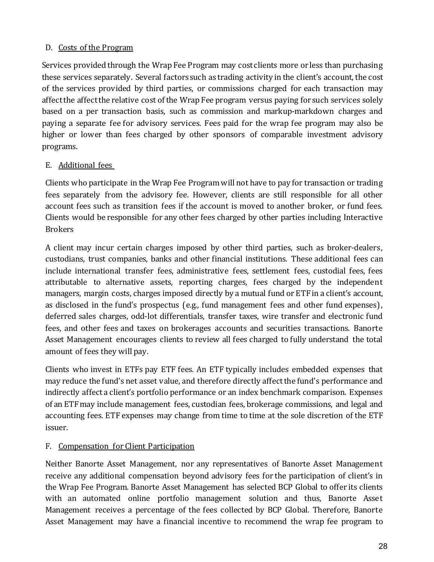# D. Costs of the Program

Services provided through the Wrap Fee Program may cost clients more or less than purchasing these services separately. Several factors such as trading activity in the client's account, the cost of the services provided by third parties, or commissions charged for each transaction may affect the affect the relative cost of the Wrap Fee program versus paying for such services solely based on a per transaction basis, such as commission and markup-markdown charges and paying a separate fee for advisory services. Fees paid for the wrap fee program may also be higher or lower than fees charged by other sponsors of comparable investment advisory programs.

# E. Additional fees

Clients who participate in the Wrap Fee Program will not have to pay for transaction or trading fees separately from the advisory fee. However, clients are still responsible for all other account fees such as transition fees if the account is moved to another broker, or fund fees. Clients would be responsible for any other fees charged by other parties including Interactive Brokers

A client may incur certain charges imposed by other third parties, such as broker-dealers, custodians, trust companies, banks and other financial institutions. These additional fees can include international transfer fees, administrative fees, settlement fees, custodial fees, fees attributable to alternative assets, reporting charges, fees charged by the independent managers, margin costs, charges imposed directly by a mutual fund or ETF in a client's account, as disclosed in the fund's prospectus (e.g., fund management fees and other fund expenses), deferred sales charges, odd-lot differentials, transfer taxes, wire transfer and electronic fund fees, and other fees and taxes on brokerages accounts and securities transactions. Banorte Asset Management encourages clients to review all fees charged to fully understand the total amount of fees they will pay.

Clients who invest in ETFs pay ETF fees. An ETF typically includes embedded expenses that may reduce the fund's net asset value, and therefore directly affect the fund's performance and indirectly affect a client's portfolio performance or an index benchmark comparison. Expenses of an ETF may include management fees, custodian fees, brokerage commissions, and legal and accounting fees. ETF expenses may change from time to time at the sole discretion of the ETF issuer.

# F. Compensation for Client Participation

Neither Banorte Asset Management, nor any representatives of Banorte Asset Management receive any additional compensation beyond advisory fees for the participation of client's in the Wrap Fee Program. Banorte Asset Management has selected BCP Global to offer its clients with an automated online portfolio management solution and thus, Banorte Asset Management receives a percentage of the fees collected by BCP Global. Therefore, Banorte Asset Management may have a financial incentive to recommend the wrap fee program to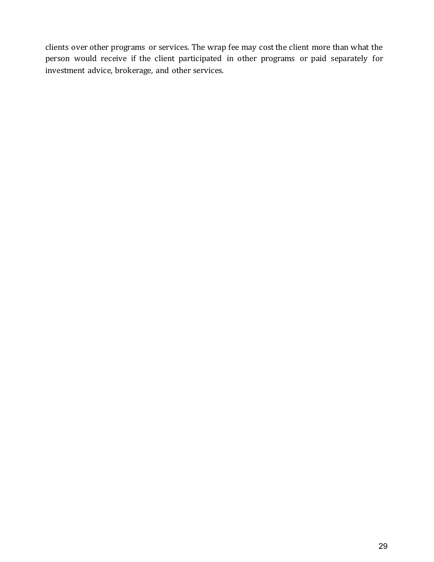clients over other programs or services. The wrap fee may cost the client more than what the person would receive if the client participated in other programs or paid separately for investment advice, brokerage, and other services.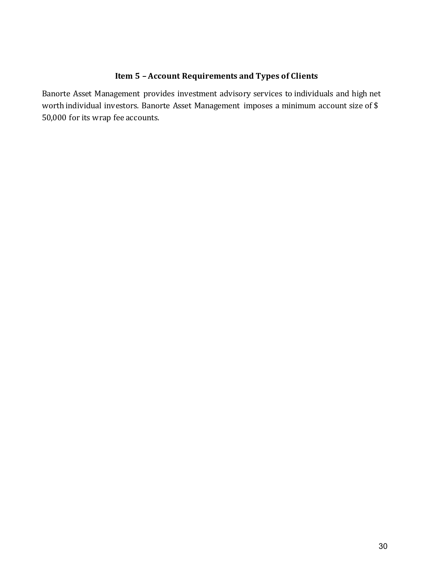# **Item 5 – Account Requirements and Types of Clients**

<span id="page-29-0"></span>Banorte Asset Management provides investment advisory services to individuals and high net worth individual investors. Banorte Asset Management imposes a minimum account size of \$ 50,000 for its wrap fee accounts.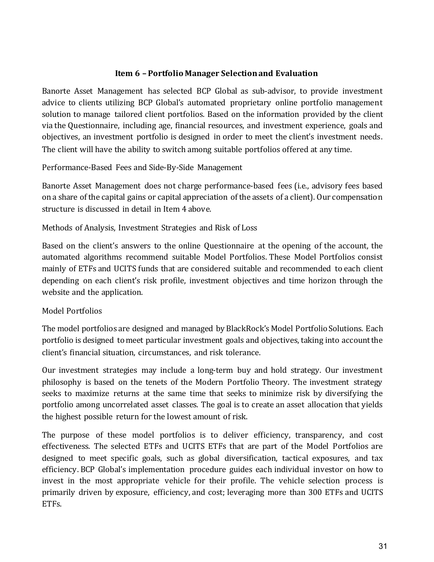# **Item 6 – Portfolio Manager Selection and Evaluation**

<span id="page-30-0"></span>Banorte Asset Management has selected BCP Global as sub-advisor, to provide investment advice to clients utilizing BCP Global's automated proprietary online portfolio management solution to manage tailored client portfolios. Based on the information provided by the client via the Questionnaire, including age, financial resources, and investment experience, goals and objectives, an investment portfolio is designed in order to meet the client's investment needs. The client will have the ability to switch among suitable portfolios offered at any time.

<span id="page-30-1"></span>Performance-Based Fees and Side-By-Side Management

Banorte Asset Management does not charge performance-based fees (i.e., advisory fees based on a share of the capital gains or capital appreciation ofthe assets of a client). Our compensation structure is discussed in detail in Item 4 above.

<span id="page-30-2"></span>Methods of Analysis, Investment Strategies and Risk of Loss

Based on the client's answers to the online Questionnaire at the opening of the account, the automated algorithms recommend suitable Model Portfolios. These Model Portfolios consist mainly of ETFs and UCITS funds that are considered suitable and recommended to each client depending on each client's risk profile, investment objectives and time horizon through the website and the application.

# <span id="page-30-3"></span>Model Portfolios

The model portfolios are designed and managed by BlackRock's Model Portfolio Solutions. Each portfolio is designed to meet particular investment goals and objectives, taking into account the client's financial situation, circumstances, and risk tolerance.

Our investment strategies may include a long-term buy and hold strategy. Our investment philosophy is based on the tenets of the Modern Portfolio Theory. The investment strategy seeks to maximize returns at the same time that seeks to minimize risk by diversifying the portfolio among uncorrelated asset classes. The goal is to create an asset allocation that yields the highest possible return for the lowest amount of risk.

The purpose of these model portfolios is to deliver efficiency, transparency, and cost effectiveness. The selected ETFs and UCITS ETFs that are part of the Model Portfolios are designed to meet specific goals, such as global diversification, tactical exposures, and tax efficiency. BCP Global's implementation procedure guides each individual investor on how to invest in the most appropriate vehicle for their profile. The vehicle selection process is primarily driven by exposure, efficiency, and cost; leveraging more than 300 ETFs and UCITS ETFs.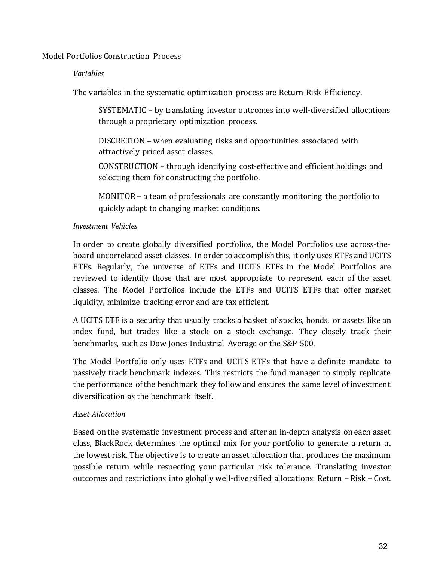### <span id="page-31-0"></span>Model Portfolios Construction Process

#### *Variables*

The variables in the systematic optimization process are Return-Risk-Efficiency.

SYSTEMATIC – by translating investor outcomes into well-diversified allocations through a proprietary optimization process.

DISCRETION – when evaluating risks and opportunities associated with attractively priced asset classes.

CONSTRUCTION – through identifying cost-effective and efficient holdings and selecting them for constructing the portfolio.

MONITOR – a team of professionals are constantly monitoring the portfolio to quickly adapt to changing market conditions.

## *Investment Vehicles*

In order to create globally diversified portfolios, the Model Portfolios use across-theboard uncorrelated asset-classes. In order to accomplish this, it only uses ETFs and UCITS ETFs. Regularly, the universe of ETFs and UCITS ETFs in the Model Portfolios are reviewed to identify those that are most appropriate to represent each of the asset classes. The Model Portfolios include the ETFs and UCITS ETFs that offer market liquidity, minimize tracking error and are tax efficient.

A UCITS ETF is a security that usually tracks a basket of stocks, bonds, or assets like an index fund, but trades like a stock on a stock exchange. They closely track their benchmarks, such as Dow Jones Industrial Average or the S&P 500.

The Model Portfolio only uses ETFs and UCITS ETFs that have a definite mandate to passively track benchmark indexes. This restricts the fund manager to simply replicate the performance of the benchmark they follow and ensures the same level of investment diversification as the benchmark itself.

## *Asset Allocation*

Based on the systematic investment process and after an in-depth analysis on each asset class, BlackRock determines the optimal mix for your portfolio to generate a return at the lowest risk. The objective is to create an asset allocation that produces the maximum possible return while respecting your particular risk tolerance. Translating investor outcomes and restrictions into globally well-diversified allocations: Return – Risk – Cost.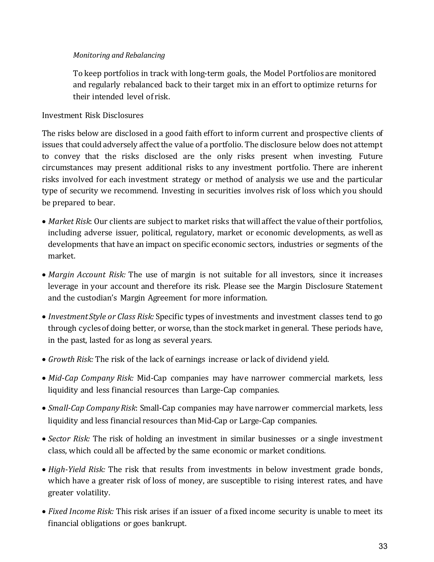# *Monitoring and Rebalancing*

To keep portfolios in track with long-term goals, the Model Portfolios are monitored and regularly rebalanced back to their target mix in an effort to optimize returns for their intended level of risk.

# <span id="page-32-0"></span>Investment Risk Disclosures

The risks below are disclosed in a good faith effort to inform current and prospective clients of issues that could adversely affect the value of a portfolio. The disclosure below does not attempt to convey that the risks disclosed are the only risks present when investing. Future circumstances may present additional risks to any investment portfolio. There are inherent risks involved for each investment strategy or method of analysis we use and the particular type of security we recommend. Investing in securities involves risk of loss which you should be prepared to bear.

- *Market Risk*: Our clients are subject to market risks that will affect the value of their portfolios, including adverse issuer, political, regulatory, market or economic developments, as well as developments that have an impact on specific economic sectors, industries or segments of the market.
- *Margin Account Risk:* The use of margin is not suitable for all investors, since it increases leverage in your account and therefore its risk. Please see the Margin Disclosure Statement and the custodian's Margin Agreement for more information.
- *Investment Style or Class Risk:* Specific types of investments and investment classes tend to go through cycles of doing better, or worse, than the stock market in general. These periods have, in the past, lasted for as long as several years.
- *Growth Risk:* The risk of the lack of earnings increase or lack of dividend yield.
- *Mid-Cap Company Risk:* Mid-Cap companies may have narrower commercial markets, less liquidity and less financial resources than Large-Cap companies.
- *Small-Cap Company Risk*: Small-Cap companies may have narrower commercial markets, less liquidity and less financial resources than Mid-Cap or Large-Cap companies.
- *Sector Risk:* The risk of holding an investment in similar businesses or a single investment class, which could all be affected by the same economic or market conditions.
- *High-Yield Risk:* The risk that results from investments in below investment grade bonds, which have a greater risk of loss of money, are susceptible to rising interest rates, and have greater volatility.
- *Fixed Income Risk:* This risk arises if an issuer of a fixed income security is unable to meet its financial obligations or goes bankrupt.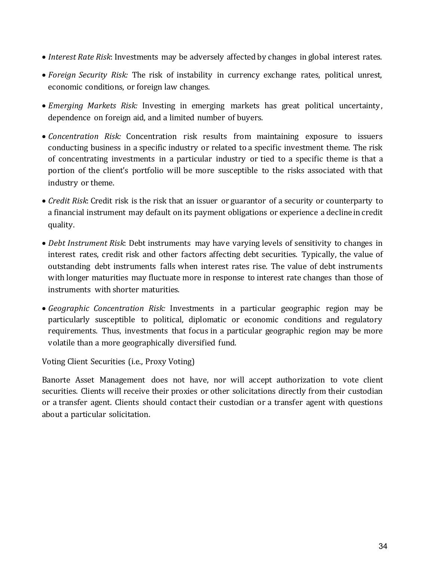- *Interest Rate Risk*: Investments may be adversely affected by changes in global interest rates.
- *Foreign Security Risk:* The risk of instability in currency exchange rates, political unrest, economic conditions, or foreign law changes.
- *Emerging Markets Risk:* Investing in emerging markets has great political uncertainty, dependence on foreign aid, and a limited number of buyers.
- *Concentration Risk:* Concentration risk results from maintaining exposure to issuers conducting business in a specific industry or related to a specific investment theme. The risk of concentrating investments in a particular industry or tied to a specific theme is that a portion of the client's portfolio will be more susceptible to the risks associated with that industry or theme.
- *Credit Risk*: Credit risk is the risk that an issuer or guarantor of a security or counterparty to a financial instrument may default on its payment obligations or experience a declinein credit quality.
- *Debt Instrument Risk*: Debt instruments may have varying levels of sensitivity to changes in interest rates, credit risk and other factors affecting debt securities. Typically, the value of outstanding debt instruments falls when interest rates rise. The value of debt instruments with longer maturities may fluctuate more in response to interest rate changes than those of instruments with shorter maturities.
- *Geographic Concentration Risk:* Investments in a particular geographic region may be particularly susceptible to political, diplomatic or economic conditions and regulatory requirements. Thus, investments that focus in a particular geographic region may be more volatile than a more geographically diversified fund.

<span id="page-33-0"></span>Voting Client Securities (i.e., Proxy Voting)

Banorte Asset Management does not have, nor will accept authorization to vote client securities. Clients will receive their proxies or other solicitations directly from their custodian or a transfer agent. Clients should contact their custodian or a transfer agent with questions about a particular solicitation.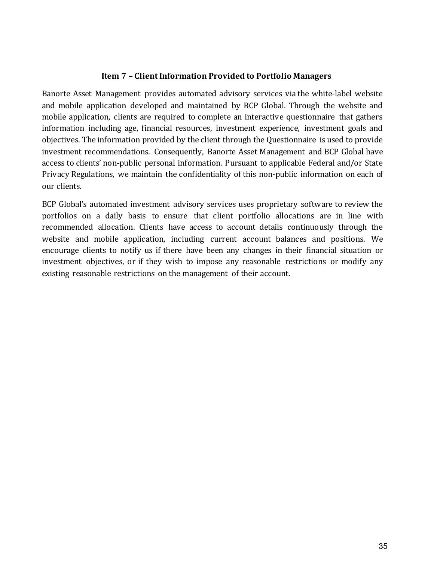## **Item 7 – Client Information Provided to Portfolio Managers**

<span id="page-34-0"></span>Banorte Asset Management provides automated advisory services via the white-label website and mobile application developed and maintained by BCP Global. Through the website and mobile application, clients are required to complete an interactive questionnaire that gathers information including age, financial resources, investment experience, investment goals and objectives. The information provided by the client through the Questionnaire is used to provide investment recommendations. Consequently, Banorte Asset Management and BCP Global have access to clients' non-public personal information. Pursuant to applicable Federal and/or State Privacy Regulations, we maintain the confidentiality of this non-public information on each of our clients.

BCP Global's automated investment advisory services uses proprietary software to review the portfolios on a daily basis to ensure that client portfolio allocations are in line with recommended allocation. Clients have access to account details continuously through the website and mobile application, including current account balances and positions. We encourage clients to notify us if there have been any changes in their financial situation or investment objectives, or if they wish to impose any reasonable restrictions or modify any existing reasonable restrictions on the management of their account.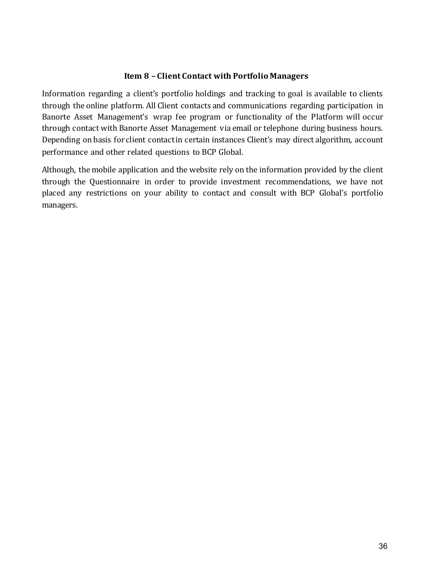## **Item 8 – Client Contact with Portfolio Managers**

<span id="page-35-0"></span>Information regarding a client's portfolio holdings and tracking to goal is available to clients through the online platform. All Client contacts and communications regarding participation in Banorte Asset Management's wrap fee program or functionality of the Platform will occur through contact with Banorte Asset Management via email or telephone during business hours. Depending on basis for client contact in certain instances Client's may direct algorithm, account performance and other related questions to BCP Global.

Although, the mobile application and the website rely on the information provided by the client through the Questionnaire in order to provide investment recommendations, we have not placed any restrictions on your ability to contact and consult with BCP Global's portfolio managers.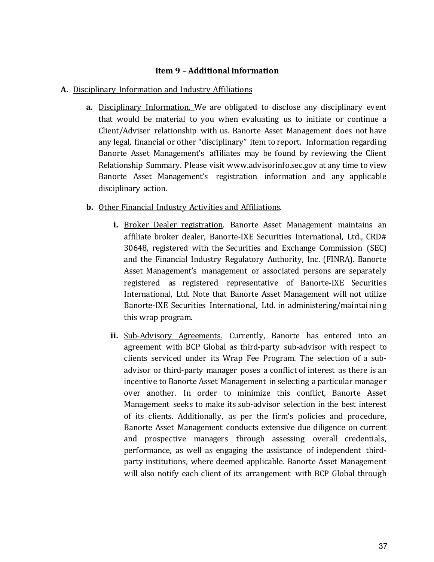## **Item 9 – Additional Information**

## <span id="page-36-1"></span><span id="page-36-0"></span>**A.** Disciplinary Information and Industry Affiliations

**a.** Disciplinary Information. We are obligated to disclose any disciplinary event that would be material to you when evaluating us to initiate or continue a Client/Adviser relationship with us. Banorte Asset Management does not have any legal, financial or other "disciplinary" item to report. Information regarding Banorte Asset Management's affiliates may be found by reviewing the Client Relationship Summary. Please visit www.advisorinfo.sec.gov at any time to view Banorte Asset Management's registration information and any applicable disciplinary action.

### **b.** Other Financial Industry Activities and Affiliations.

- <span id="page-36-2"></span>**i.** Broker Dealer registration. Banorte Asset Management maintains an affiliate broker dealer, Banorte-IXE Securities International, Ltd., CRD# 30648, registered with the Securities and Exchange Commission (SEC) and the Financial Industry Regulatory Authority, Inc. (FINRA). Banorte Asset Management's management or associated persons are separately registered as registered representative of Banorte-IXE Securities International, Ltd. Note that Banorte Asset Management will not utilize Banorte-IXE Securities International, Ltd. in administering/maintai ning this wrap program.
- <span id="page-36-3"></span>ii. Sub-Advisory Agreements. Currently, Banorte has entered into an agreement with BCP Global as third-party sub-advisor with respect to clients serviced under its Wrap Fee Program. The selection of a subadvisor or third-party manager poses a conflict of interest as there is an incentive to Banorte Asset Management in selecting a particular manager over another. In order to minimize this conflict, Banorte Asset Management seeks to make its sub-advisor selection in the best interest of its clients. Additionally, as per the firm's policies and procedure, Banorte Asset Management conducts extensive due diligence on current and prospective managers through assessing overall credentials, performance, as well as engaging the assistance of independent thirdparty institutions, where deemed applicable. Banorte Asset Management will also notify each client of its arrangement with BCP Global through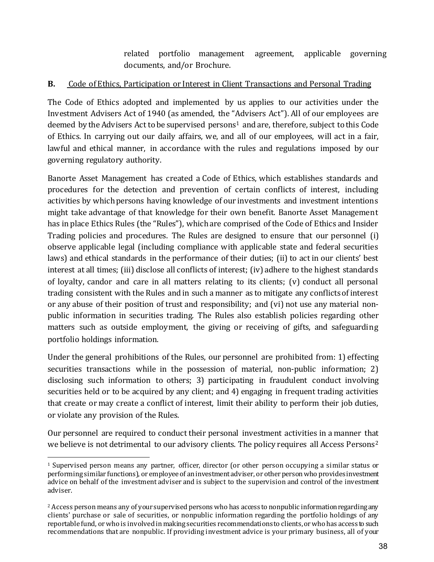related portfolio management agreement, applicable governing documents, and/or Brochure.

# **B.** Code of Ethics, Participation or Interest in Client Transactions and Personal Trading

The Code of Ethics adopted and implemented by us applies to our activities under the Investment Advisers Act of 1940 (as amended, the "Advisers Act"). All of our employees are deemed by the Advisers Act to be supervised persons<sup>[1](#page-37-0)</sup> and are, therefore, subject to this Code of Ethics. In carrying out our daily affairs, we, and all of our employees, will act in a fair, lawful and ethical manner, in accordance with the rules and regulations imposed by our governing regulatory authority.

Banorte Asset Management has created a Code of Ethics, which establishes standards and procedures for the detection and prevention of certain conflicts of interest, including activities by which persons having knowledge of our investments and investment intentions might take advantage of that knowledge for their own benefit. Banorte Asset Management has in place Ethics Rules (the "Rules"), which are comprised of the Code of Ethics and Insider Trading policies and procedures. The Rules are designed to ensure that our personnel (i) observe applicable legal (including compliance with applicable state and federal securities laws) and ethical standards in the performance of their duties; (ii) to act in our clients' best interest at all times; (iii) disclose all conflicts of interest; (iv) adhere to the highest standards of loyalty, candor and care in all matters relating to its clients; (v) conduct all personal trading consistent with the Rules and in such a manner as to mitigate any conflicts of interest or any abuse of their position of trust and responsibility; and (vi) not use any material nonpublic information in securities trading. The Rules also establish policies regarding other matters such as outside employment, the giving or receiving of gifts, and safeguarding portfolio holdings information.

Under the general prohibitions of the Rules, our personnel are prohibited from: 1) effecting securities transactions while in the possession of material, non-public information; 2) disclosing such information to others; 3) participating in fraudulent conduct involving securities held or to be acquired by any client; and 4) engaging in frequent trading activities that create or may create a conflict of interest, limit their ability to perform their job duties, or violate any provision of the Rules.

Our personnel are required to conduct their personal investment activities in a manner that we believe is not detrimental to our advisory clients. The policy requires all Access Persons<sup>[2](#page-37-1)</sup>

<span id="page-37-0"></span><sup>1</sup> <sup>1</sup> Supervised person means any partner, officer, director (or other person occupying a similar status or performing similar functions), or employee of an investment adviser, or other person who provides investment advice on behalf of the investment adviser and is subject to the supervision and control of the investment adviser.

<span id="page-37-1"></span><sup>&</sup>lt;sup>2</sup> Access person means any of your supervised persons who has access to nonpublic information regarding any clients' purchase or sale of securities, or nonpublic information regarding the portfolio holdings of any reportable fund, or who is involved in making securities recommendations to clients, or who has access to such recommendations that are nonpublic. If providing investment advice is your primary business, all of your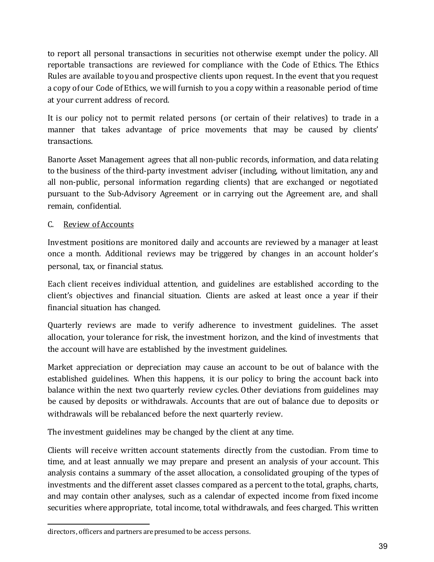to report all personal transactions in securities not otherwise exempt under the policy. All reportable transactions are reviewed for compliance with the Code of Ethics. The Ethics Rules are available to you and prospective clients upon request. In the event that you request a copy of our Code of Ethics, we will furnish to you a copy within a reasonable period of time at your current address of record.

It is our policy not to permit related persons (or certain of their relatives) to trade in a manner that takes advantage of price movements that may be caused by clients' transactions.

Banorte Asset Management agrees that all non-public records, information, and data relating to the business of the third-party investment adviser (including, without limitation, any and all non-public, personal information regarding clients) that are exchanged or negotiated pursuant to the Sub-Advisory Agreement or in carrying out the Agreement are, and shall remain, confidential.

# <span id="page-38-0"></span>C. Review of Accounts

Investment positions are monitored daily and accounts are reviewed by a manager at least once a month. Additional reviews may be triggered by changes in an account holder's personal, tax, or financial status.

Each client receives individual attention, and guidelines are established according to the client's objectives and financial situation. Clients are asked at least once a year if their financial situation has changed.

Quarterly reviews are made to verify adherence to investment guidelines. The asset allocation, your tolerance for risk, the investment horizon, and the kind of investments that the account will have are established by the investment guidelines.

Market appreciation or depreciation may cause an account to be out of balance with the established guidelines. When this happens, it is our policy to bring the account back into balance within the next two quarterly review cycles. Other deviations from guidelines may be caused by deposits or withdrawals. Accounts that are out of balance due to deposits or withdrawals will be rebalanced before the next quarterly review.

The investment guidelines may be changed by the client at any time.

Clients will receive written account statements directly from the custodian. From time to time, and at least annually we may prepare and present an analysis of your account. This analysis contains a summary of the asset allocation, a consolidated grouping of the types of investments and the different asset classes compared as a percent to the total, graphs, charts, and may contain other analyses, such as a calendar of expected income from fixed income securities where appropriate, total income, total withdrawals, and fees charged. This written

 $\overline{a}$ directors, officers and partners are presumed to be access persons.